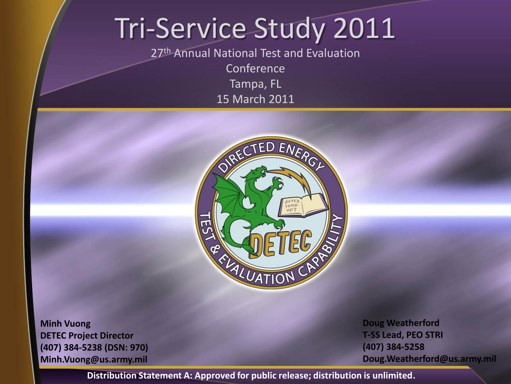#### Tri-Service Study 2011

27th Annual National Test and Evaluation **Conference** Tampa, FL

15 March 2011



**Minh Vuong DETEC Project Director (407) 384-5238 (DSN: 970) Minh.Vuong@us.army.mil** **Doug Weatherford T-SS Lead, PEO STRI (407) 384-5258 Doug.Weatherford@us.army.mil**

**Distribution Statement A: Approved for public release; distribution is unlimited.**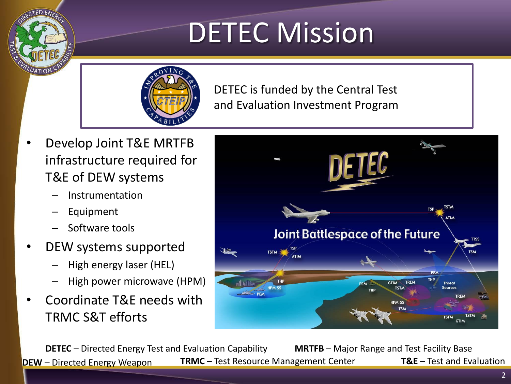# DETEC Mission



DETEC is funded by the Central Test and Evaluation Investment Program

- Develop Joint T&E MRTFB infrastructure required for T&E of DEW systems
	- Instrumentation
	- **Equipment**
	- Software tools
- DEW systems supported
	- High energy laser (HEL)
	- High power microwave (HPM)
- Coordinate T&E needs with TRMC S&T efforts



**DETEC** – Directed Energy Test and Evaluation Capability **MRTFB** – Major Range and Test Facility Base **DEW** – Directed Energy Weapon **TRMC** – Test Resource Management Center **T&E** – Test and Evaluation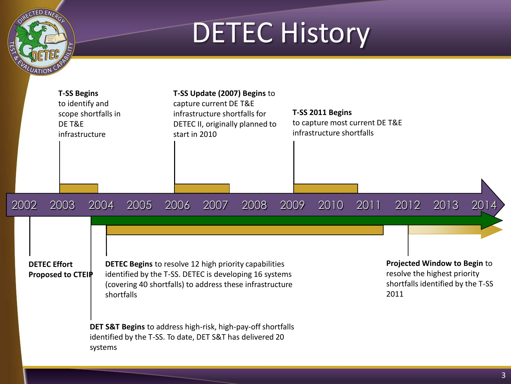#### **DETEC History**

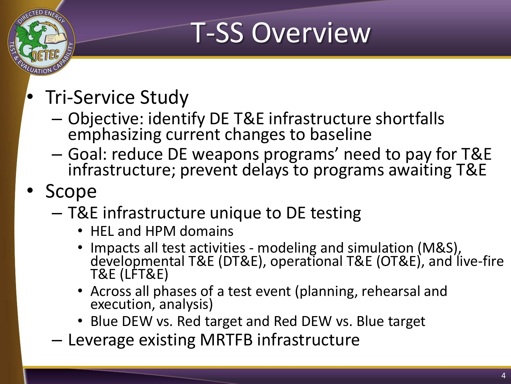# T-SS Overview

- Tri-Service Study
	- Objective: identify DE T&E infrastructure shortfalls emphasizing current changes to baseline
	- Goal: reduce DE weapons programs' need to pay for T&E infrastructure; prevent delays to programs awaiting T&E
- Scope
	- T&E infrastructure unique to DE testing
		- HEL and HPM domains
		- Impacts all test activities modeling and simulation (M&S), developmental T&E (DT&E), operational T&E (OT&E), and live-fire T&E (LFT&E)
		- Across all phases of a test event (planning, rehearsal and execution, analysis)
		- Blue DEW vs*.* Red target and Red DEW vs. Blue target
	- Leverage existing MRTFB infrastructure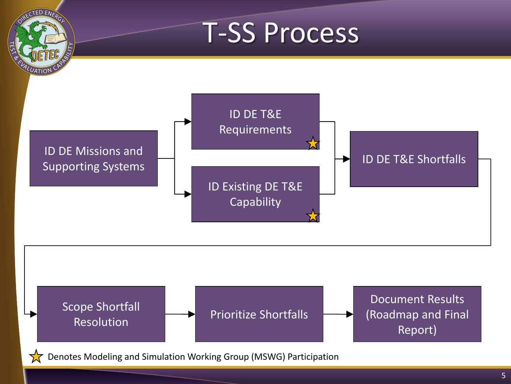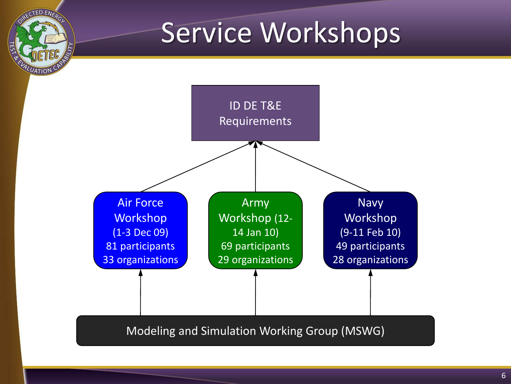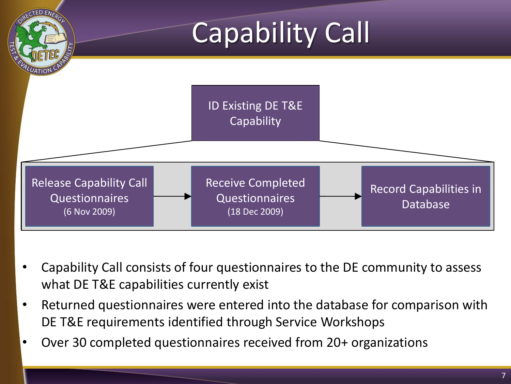

- Capability Call consists of four questionnaires to the DE community to assess what DE T&E capabilities currently exist
- Returned questionnaires were entered into the database for comparison with DE T&E requirements identified through Service Workshops
- Over 30 completed questionnaires received from 20+ organizations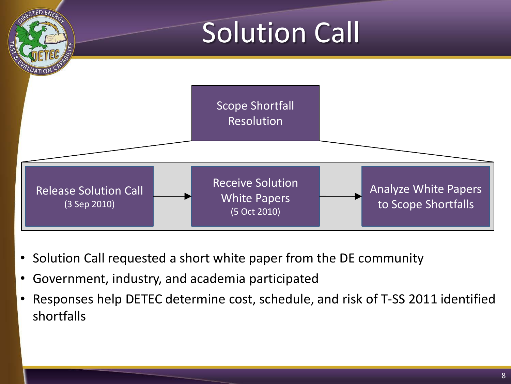

- Solution Call requested a short white paper from the DE community
- Government, industry, and academia participated
- Responses help DETEC determine cost, schedule, and risk of T-SS 2011 identified shortfalls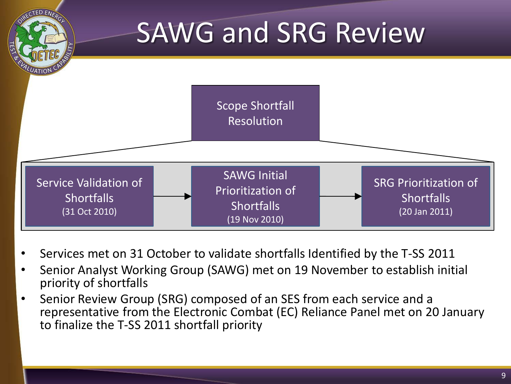

- Services met on 31 October to validate shortfalls Identified by the T-SS 2011
- Senior Analyst Working Group (SAWG) met on 19 November to establish initial priority of shortfalls
- Senior Review Group (SRG) composed of an SES from each service and a representative from the Electronic Combat (EC) Reliance Panel met on 20 January to finalize the T-SS 2011 shortfall priority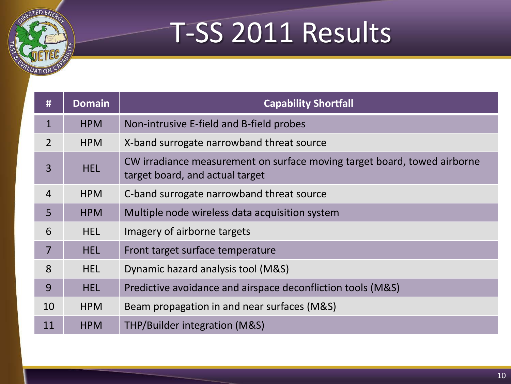# T-SS 2011 Results

**ED ENE** 

| #              | <b>Domain</b> | <b>Capability Shortfall</b>                                                                                 |
|----------------|---------------|-------------------------------------------------------------------------------------------------------------|
| $\mathbf{1}$   | <b>HPM</b>    | Non-intrusive E-field and B-field probes                                                                    |
| $\overline{2}$ | <b>HPM</b>    | X-band surrogate narrowband threat source                                                                   |
| 3              | <b>HEL</b>    | CW irradiance measurement on surface moving target board, towed airborne<br>target board, and actual target |
| $\overline{4}$ | <b>HPM</b>    | C-band surrogate narrowband threat source                                                                   |
| 5              | <b>HPM</b>    | Multiple node wireless data acquisition system                                                              |
| 6              | <b>HEL</b>    | Imagery of airborne targets                                                                                 |
| $\overline{7}$ | <b>HEL</b>    | Front target surface temperature                                                                            |
| 8              | <b>HEL</b>    | Dynamic hazard analysis tool (M&S)                                                                          |
| 9              | <b>HEL</b>    | Predictive avoidance and airspace deconfliction tools (M&S)                                                 |
| 10             | <b>HPM</b>    | Beam propagation in and near surfaces (M&S)                                                                 |
| 11             | <b>HPM</b>    | THP/Builder integration (M&S)                                                                               |